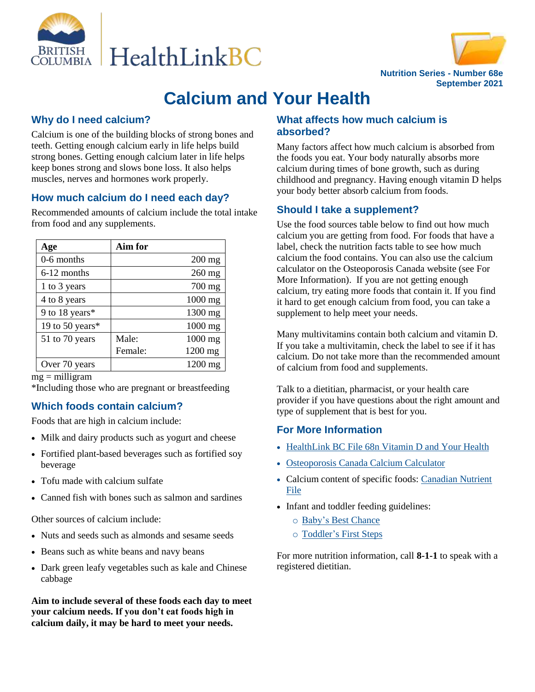



# **Calcium and Your Health**

## **Why do I need calcium?**

Calcium is one of the building blocks of strong bones and teeth. Getting enough calcium early in life helps build strong bones. Getting enough calcium later in life helps keep bones strong and slows bone loss. It also helps muscles, nerves and hormones work properly.

#### **How much calcium do I need each day?**

Recommended amounts of calcium include the total intake from food and any supplements.

| Age             | Aim for |          |
|-----------------|---------|----------|
| 0-6 months      |         | $200$ mg |
| 6-12 months     |         | 260 mg   |
| 1 to 3 years    |         | 700 mg   |
| 4 to 8 years    |         | 1000 mg  |
| 9 to 18 years*  |         | 1300 mg  |
| 19 to 50 years* |         | 1000 mg  |
| 51 to 70 years  | Male:   | 1000 mg  |
|                 | Female: | 1200 mg  |
| Over 70 years   |         | 1200 mg  |

 $mg =$  milligram

\*Including those who are pregnant or breastfeeding

## **Which foods contain calcium?**

Foods that are high in calcium include:

- Milk and dairy products such as yogurt and cheese
- Fortified plant-based beverages such as fortified soy beverage
- Tofu made with calcium sulfate
- Canned fish with bones such as salmon and sardines

Other sources of calcium include:

- Nuts and seeds such as almonds and sesame seeds
- Beans such as white beans and navy beans
- Dark green leafy vegetables such as kale and Chinese cabbage

**Aim to include several of these foods each day to meet your calcium needs. If you don't eat foods high in calcium daily, it may be hard to meet your needs.**

## **What affects how much calcium is absorbed?**

Many factors affect how much calcium is absorbed from the foods you eat. Your body naturally absorbs more calcium during times of bone growth, such as during childhood and pregnancy. Having enough vitamin D helps your body better absorb calcium from foods.

#### **Should I take a supplement?**

Use the food sources table below to find out how much calcium you are getting from food. For foods that have a label, check the nutrition facts table to see how much calcium the food contains. You can also use the calcium calculator on the Osteoporosis Canada website (see For More Information). If you are not getting enough calcium, try eating more foods that contain it. If you find it hard to get enough calcium from food, you can take a supplement to help meet your needs.

Many multivitamins contain both calcium and vitamin D. If you take a multivitamin, check the label to see if it has calcium. Do not take more than the recommended amount of calcium from food and supplements.

Talk to a dietitian, pharmacist, or your health care provider if you have questions about the right amount and type of supplement that is best for you.

#### **For More Information**

- HealthLink BC File 68n Vitamin D and Your Health
- [Osteoporosis Canada Calcium Calculator](https://osteoporosis.ca/bone-health-osteoporosis/calcium-calculator/#page-1)
- Calcium content of specific foods: Canadian Nutrient [File](https://food-nutrition.canada.ca/cnf-fce/index-eng.jsp)
- Infant and toddler feeding guidelines:
	- o Baby's [Best Chance](https://www.healthlinkbc.ca/babys-best-chance)
	- o [Toddler's First Steps](https://www.healthlinkbc.ca/toddlers-first-steps)

For more nutrition information, call **8-1-1** to speak with a registered dietitian.